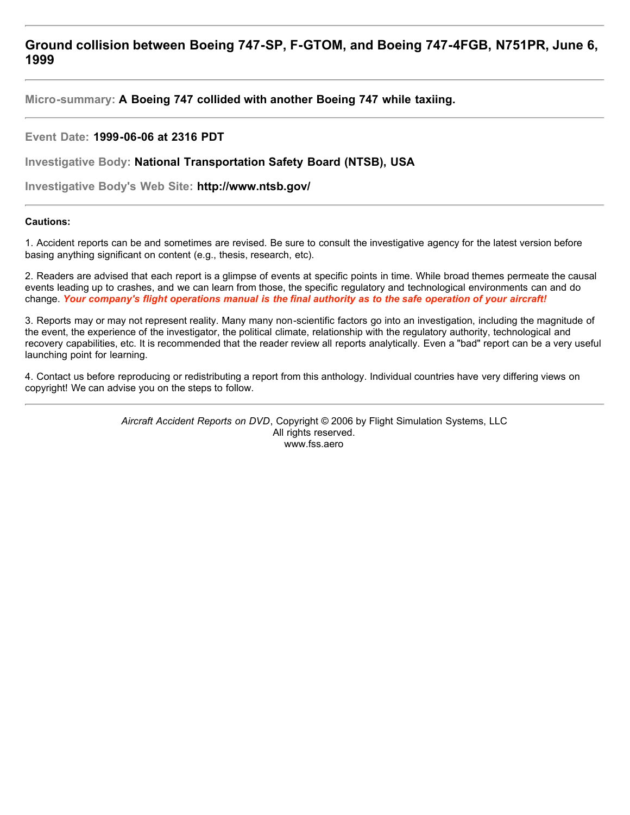# **Ground collision between Boeing 747-SP, F-GTOM, and Boeing 747-4FGB, N751PR, June 6, 1999**

**Micro-summary: A Boeing 747 collided with another Boeing 747 while taxiing.**

## **Event Date: 1999-06-06 at 2316 PDT**

**Investigative Body: National Transportation Safety Board (NTSB), USA**

**Investigative Body's Web Site: http://www.ntsb.gov/**

## **Cautions:**

1. Accident reports can be and sometimes are revised. Be sure to consult the investigative agency for the latest version before basing anything significant on content (e.g., thesis, research, etc).

2. Readers are advised that each report is a glimpse of events at specific points in time. While broad themes permeate the causal events leading up to crashes, and we can learn from those, the specific regulatory and technological environments can and do change. *Your company's flight operations manual is the final authority as to the safe operation of your aircraft!*

3. Reports may or may not represent reality. Many many non-scientific factors go into an investigation, including the magnitude of the event, the experience of the investigator, the political climate, relationship with the regulatory authority, technological and recovery capabilities, etc. It is recommended that the reader review all reports analytically. Even a "bad" report can be a very useful launching point for learning.

4. Contact us before reproducing or redistributing a report from this anthology. Individual countries have very differing views on copyright! We can advise you on the steps to follow.

> *Aircraft Accident Reports on DVD*, Copyright © 2006 by Flight Simulation Systems, LLC All rights reserved. www.fss.aero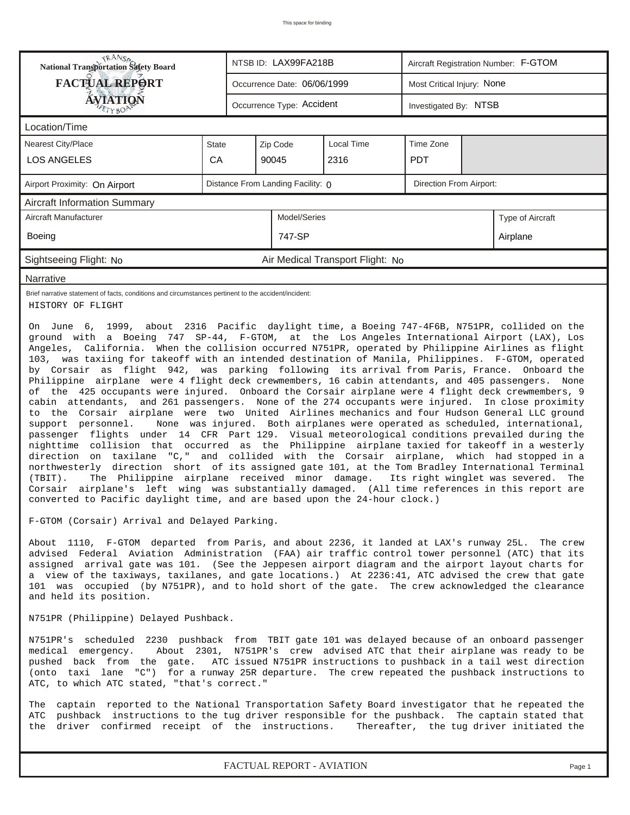| RANS <sub>P</sub>                                                                                                                                                                                                                                                                                                                                                                                                                                                                                                                                                                                                                                                                                                                                                                                                                                                                                                                                                                                                                                                                                                                                                                                                                                                                                                                                                                                                                                                                                                                                                                                                                                                                                                                                                                                                                                                                                                                                                                                                                                                                                                                                                                    |              | NTSB ID: LAX99FA218B<br>Aircraft Registration Number: F-GTOM |          |              |                                  |  |                            |                                                                                                         |                  |  |
|--------------------------------------------------------------------------------------------------------------------------------------------------------------------------------------------------------------------------------------------------------------------------------------------------------------------------------------------------------------------------------------------------------------------------------------------------------------------------------------------------------------------------------------------------------------------------------------------------------------------------------------------------------------------------------------------------------------------------------------------------------------------------------------------------------------------------------------------------------------------------------------------------------------------------------------------------------------------------------------------------------------------------------------------------------------------------------------------------------------------------------------------------------------------------------------------------------------------------------------------------------------------------------------------------------------------------------------------------------------------------------------------------------------------------------------------------------------------------------------------------------------------------------------------------------------------------------------------------------------------------------------------------------------------------------------------------------------------------------------------------------------------------------------------------------------------------------------------------------------------------------------------------------------------------------------------------------------------------------------------------------------------------------------------------------------------------------------------------------------------------------------------------------------------------------------|--------------|--------------------------------------------------------------|----------|--------------|----------------------------------|--|----------------------------|---------------------------------------------------------------------------------------------------------|------------------|--|
| FACTUAL REPORT                                                                                                                                                                                                                                                                                                                                                                                                                                                                                                                                                                                                                                                                                                                                                                                                                                                                                                                                                                                                                                                                                                                                                                                                                                                                                                                                                                                                                                                                                                                                                                                                                                                                                                                                                                                                                                                                                                                                                                                                                                                                                                                                                                       |              | Occurrence Date: 06/06/1999                                  |          |              |                                  |  | Most Critical Injury: None |                                                                                                         |                  |  |
| <b>ÁVIATION</b><br>TrBOP                                                                                                                                                                                                                                                                                                                                                                                                                                                                                                                                                                                                                                                                                                                                                                                                                                                                                                                                                                                                                                                                                                                                                                                                                                                                                                                                                                                                                                                                                                                                                                                                                                                                                                                                                                                                                                                                                                                                                                                                                                                                                                                                                             |              | Occurrence Type: Accident                                    |          |              |                                  |  |                            | Investigated By: NTSB                                                                                   |                  |  |
| Location/Time                                                                                                                                                                                                                                                                                                                                                                                                                                                                                                                                                                                                                                                                                                                                                                                                                                                                                                                                                                                                                                                                                                                                                                                                                                                                                                                                                                                                                                                                                                                                                                                                                                                                                                                                                                                                                                                                                                                                                                                                                                                                                                                                                                        |              |                                                              |          |              |                                  |  |                            |                                                                                                         |                  |  |
| <b>Nearest City/Place</b>                                                                                                                                                                                                                                                                                                                                                                                                                                                                                                                                                                                                                                                                                                                                                                                                                                                                                                                                                                                                                                                                                                                                                                                                                                                                                                                                                                                                                                                                                                                                                                                                                                                                                                                                                                                                                                                                                                                                                                                                                                                                                                                                                            | <b>State</b> |                                                              | Zip Code |              | Local Time                       |  | Time Zone                  |                                                                                                         |                  |  |
| <b>LOS ANGELES</b>                                                                                                                                                                                                                                                                                                                                                                                                                                                                                                                                                                                                                                                                                                                                                                                                                                                                                                                                                                                                                                                                                                                                                                                                                                                                                                                                                                                                                                                                                                                                                                                                                                                                                                                                                                                                                                                                                                                                                                                                                                                                                                                                                                   | CA           |                                                              | 90045    |              | 2316                             |  | <b>PDT</b>                 |                                                                                                         |                  |  |
| Airport Proximity: On Airport                                                                                                                                                                                                                                                                                                                                                                                                                                                                                                                                                                                                                                                                                                                                                                                                                                                                                                                                                                                                                                                                                                                                                                                                                                                                                                                                                                                                                                                                                                                                                                                                                                                                                                                                                                                                                                                                                                                                                                                                                                                                                                                                                        |              | Distance From Landing Facility: 0<br>Direction From Airport: |          |              |                                  |  |                            |                                                                                                         |                  |  |
| <b>Aircraft Information Summary</b>                                                                                                                                                                                                                                                                                                                                                                                                                                                                                                                                                                                                                                                                                                                                                                                                                                                                                                                                                                                                                                                                                                                                                                                                                                                                                                                                                                                                                                                                                                                                                                                                                                                                                                                                                                                                                                                                                                                                                                                                                                                                                                                                                  |              |                                                              |          |              |                                  |  |                            |                                                                                                         |                  |  |
| Aircraft Manufacturer                                                                                                                                                                                                                                                                                                                                                                                                                                                                                                                                                                                                                                                                                                                                                                                                                                                                                                                                                                                                                                                                                                                                                                                                                                                                                                                                                                                                                                                                                                                                                                                                                                                                                                                                                                                                                                                                                                                                                                                                                                                                                                                                                                |              |                                                              |          | Model/Series |                                  |  |                            |                                                                                                         | Type of Aircraft |  |
| Boeing                                                                                                                                                                                                                                                                                                                                                                                                                                                                                                                                                                                                                                                                                                                                                                                                                                                                                                                                                                                                                                                                                                                                                                                                                                                                                                                                                                                                                                                                                                                                                                                                                                                                                                                                                                                                                                                                                                                                                                                                                                                                                                                                                                               |              |                                                              |          | 747-SP       |                                  |  |                            |                                                                                                         | Airplane         |  |
| Sightseeing Flight: No                                                                                                                                                                                                                                                                                                                                                                                                                                                                                                                                                                                                                                                                                                                                                                                                                                                                                                                                                                                                                                                                                                                                                                                                                                                                                                                                                                                                                                                                                                                                                                                                                                                                                                                                                                                                                                                                                                                                                                                                                                                                                                                                                               |              |                                                              |          |              | Air Medical Transport Flight: No |  |                            |                                                                                                         |                  |  |
| Narrative                                                                                                                                                                                                                                                                                                                                                                                                                                                                                                                                                                                                                                                                                                                                                                                                                                                                                                                                                                                                                                                                                                                                                                                                                                                                                                                                                                                                                                                                                                                                                                                                                                                                                                                                                                                                                                                                                                                                                                                                                                                                                                                                                                            |              |                                                              |          |              |                                  |  |                            |                                                                                                         |                  |  |
| Brief narrative statement of facts, conditions and circumstances pertinent to the accident/incident:<br>HISTORY OF FLIGHT                                                                                                                                                                                                                                                                                                                                                                                                                                                                                                                                                                                                                                                                                                                                                                                                                                                                                                                                                                                                                                                                                                                                                                                                                                                                                                                                                                                                                                                                                                                                                                                                                                                                                                                                                                                                                                                                                                                                                                                                                                                            |              |                                                              |          |              |                                  |  |                            |                                                                                                         |                  |  |
| On June 6, 1999, about 2316 Pacific daylight time, a Boeing 747-4F6B, N751PR, collided on the<br>ground with a Boeing 747 SP-44, F-GTOM, at the Los Angeles International Airport (LAX), Los<br>Angeles, California. When the collision occurred N751PR, operated by Philippine Airlines as flight<br>103, was taxiing for takeoff with an intended destination of Manila, Philippines. F-GTOM, operated<br>by Corsair as flight 942, was parking following its arrival from Paris, France. Onboard the<br>Philippine airplane were 4 flight deck crewmembers, 16 cabin attendants, and 405 passengers. None<br>of the 425 occupants were injured. Onboard the Corsair airplane were 4 flight deck crewmembers, 9<br>cabin attendants, and 261 passengers. None of the 274 occupants were injured. In close proximity<br>to the Corsair airplane were two United Airlines mechanics and four Hudson General LLC ground<br>support personnel.<br>None was injured. Both airplanes were operated as scheduled, international,<br>passenger flights under 14 CFR Part 129. Visual meteorological conditions prevailed during the<br>nighttime collision that occurred as the Philippine airplane taxied for takeoff in a westerly<br>direction on taxilane "C," and collided with the Corsair airplane, which had stopped in a<br>northwesterly direction short of its assigned gate 101, at the Tom Bradley International Terminal<br>The Philippine airplane received minor damage. Its right winglet was severed.<br>$(TBIT)$ .<br>Corsair airplane's left wing was substantially damaged. (All time references in this report are<br>converted to Pacific daylight time, and are based upon the 24-hour clock.)<br>F-GTOM (Corsair) Arrival and Delayed Parking.<br>About 1110, F-GTOM departed from Paris, and about 2236, it landed at LAX's runway 25L. The crew<br>advised Federal Aviation Administration (FAA) air traffic control tower personnel (ATC) that its<br>assigned arrival gate was 101. (See the Jeppesen airport diagram and the airport layout charts for<br>a view of the taxiways, taxilanes, and gate locations.) At 2236:41, ATC advised the crew that gate |              |                                                              |          |              |                                  |  |                            | The<br>101 was occupied (by N751PR), and to hold short of the gate. The crew acknowledged the clearance |                  |  |
| N751PR (Philippine) Delayed Pushback.                                                                                                                                                                                                                                                                                                                                                                                                                                                                                                                                                                                                                                                                                                                                                                                                                                                                                                                                                                                                                                                                                                                                                                                                                                                                                                                                                                                                                                                                                                                                                                                                                                                                                                                                                                                                                                                                                                                                                                                                                                                                                                                                                |              |                                                              |          |              |                                  |  |                            |                                                                                                         |                  |  |
| N751PR's scheduled 2230 pushback from TBIT gate 101 was delayed because of an onboard passenger<br>About 2301, N751PR's crew advised ATC that their airplane was ready to be<br>medical emergency.<br>ATC issued N751PR instructions to pushback in a tail west direction<br>pushed back from the gate.<br>(onto taxi lane "C") for a runway 25R departure. The crew repeated the pushback instructions to<br>ATC, to which ATC stated, "that's correct."                                                                                                                                                                                                                                                                                                                                                                                                                                                                                                                                                                                                                                                                                                                                                                                                                                                                                                                                                                                                                                                                                                                                                                                                                                                                                                                                                                                                                                                                                                                                                                                                                                                                                                                            |              |                                                              |          |              |                                  |  |                            |                                                                                                         |                  |  |
| The captain reported to the National Transportation Safety Board investigator that he repeated the<br>ATC<br>pushback instructions to the tug driver responsible for the pushback. The captain stated that<br>the<br>driver confirmed receipt of the instructions.<br>Thereafter, the tug driver initiated the                                                                                                                                                                                                                                                                                                                                                                                                                                                                                                                                                                                                                                                                                                                                                                                                                                                                                                                                                                                                                                                                                                                                                                                                                                                                                                                                                                                                                                                                                                                                                                                                                                                                                                                                                                                                                                                                       |              |                                                              |          |              |                                  |  |                            |                                                                                                         |                  |  |

*FACTUAL REPORT - AVIATION Page 1*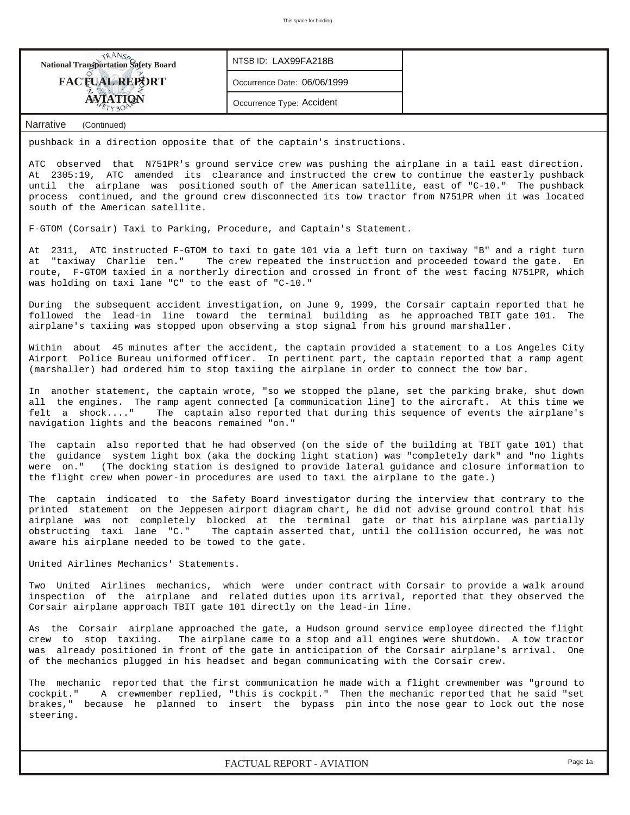| <b>NANSA</b><br>National Transportation Safety Board                                                                                                                                                                                                                                                                                                                                                                                               | NTSB ID: LAX99FA218B        |                                                                                              |  |  |  |  |  |  |  |  |  |  |
|----------------------------------------------------------------------------------------------------------------------------------------------------------------------------------------------------------------------------------------------------------------------------------------------------------------------------------------------------------------------------------------------------------------------------------------------------|-----------------------------|----------------------------------------------------------------------------------------------|--|--|--|--|--|--|--|--|--|--|
| <b>FACTUAL REPORT</b>                                                                                                                                                                                                                                                                                                                                                                                                                              | Occurrence Date: 06/06/1999 |                                                                                              |  |  |  |  |  |  |  |  |  |  |
| <b>AVIATION</b>                                                                                                                                                                                                                                                                                                                                                                                                                                    | Occurrence Type: Accident   |                                                                                              |  |  |  |  |  |  |  |  |  |  |
| Narrative<br>(Continued)                                                                                                                                                                                                                                                                                                                                                                                                                           |                             |                                                                                              |  |  |  |  |  |  |  |  |  |  |
| pushback in a direction opposite that of the captain's instructions.                                                                                                                                                                                                                                                                                                                                                                               |                             |                                                                                              |  |  |  |  |  |  |  |  |  |  |
| ATC observed that N751PR's ground service crew was pushing the airplane in a tail east direction.<br>At 2305:19, ATC amended its clearance and instructed the crew to continue the easterly pushback<br>until the airplane was positioned south of the American satellite, east of "C-10." The pushback<br>process continued, and the ground crew disconnected its tow tractor from N751PR when it was located<br>south of the American satellite. |                             |                                                                                              |  |  |  |  |  |  |  |  |  |  |
| F-GTOM (Corsair) Taxi to Parking, Procedure, and Captain's Statement.                                                                                                                                                                                                                                                                                                                                                                              |                             |                                                                                              |  |  |  |  |  |  |  |  |  |  |
| At 2311, ATC instructed F-GTOM to taxi to gate 101 via a left turn on taxiway "B" and a right turn<br>The crew repeated the instruction and proceeded toward the gate. En<br>at "taxiway Charlie ten."<br>route, F-GTOM taxied in a northerly direction and crossed in front of the west facing N751PR, which<br>was holding on taxi lane "C" to the east of "C-10."                                                                               |                             |                                                                                              |  |  |  |  |  |  |  |  |  |  |
| During the subsequent accident investigation, on June 9, 1999, the Corsair captain reported that he<br>followed the lead-in line toward the terminal building as he approached TBIT gate 101. The<br>airplane's taxiing was stopped upon observing a stop signal from his ground marshaller.                                                                                                                                                       |                             |                                                                                              |  |  |  |  |  |  |  |  |  |  |
| Within about 45 minutes after the accident, the captain provided a statement to a Los Angeles City<br>Airport Police Bureau uniformed officer. In pertinent part, the captain reported that a ramp agent<br>(marshaller) had ordered him to stop taxiing the airplane in order to connect the tow bar.                                                                                                                                             |                             |                                                                                              |  |  |  |  |  |  |  |  |  |  |
| In another statement, the captain wrote, "so we stopped the plane, set the parking brake, shut down<br>all the engines. The ramp agent connected [a communication line] to the aircraft. At this time we<br>The captain also reported that during this sequence of events the airplane's<br>felt a shock"<br>navigation lights and the beacons remained "on."                                                                                      |                             |                                                                                              |  |  |  |  |  |  |  |  |  |  |
| The captain also reported that he had observed (on the side of the building at TBIT gate 101) that<br>the guidance system light box (aka the docking light station) was "completely dark" and "no lights<br>were on." (The docking station is designed to provide lateral guidance and closure information to<br>the flight crew when power-in procedures are used to taxi the airplane to the gate.)                                              |                             |                                                                                              |  |  |  |  |  |  |  |  |  |  |
| The<br>printed statement on the Jeppesen airport diagram chart, he did not advise ground control that his<br>airplane was not completely blocked at the terminal gate or that his airplane was partially<br>obstructing taxi lane "C." The captain asserted that, until the collision occurred, he was not<br>aware his airplane needed to be towed to the gate.                                                                                   |                             | captain indicated to the Safety Board investigator during the interview that contrary to the |  |  |  |  |  |  |  |  |  |  |
| United Airlines Mechanics' Statements.                                                                                                                                                                                                                                                                                                                                                                                                             |                             |                                                                                              |  |  |  |  |  |  |  |  |  |  |
| Two United Airlines mechanics, which were under contract with Corsair to provide a walk around<br>inspection of the airplane and related duties upon its arrival, reported that they observed the<br>Corsair airplane approach TBIT gate 101 directly on the lead-in line.                                                                                                                                                                         |                             |                                                                                              |  |  |  |  |  |  |  |  |  |  |
| As the Corsair airplane approached the gate, a Hudson ground service employee directed the flight<br>crew to stop taxiing.<br>The airplane came to a stop and all engines were shutdown. A tow tractor<br>was already positioned in front of the gate in anticipation of the Corsair airplane's arrival. One<br>of the mechanics plugged in his headset and began communicating with the Corsair crew.                                             |                             |                                                                                              |  |  |  |  |  |  |  |  |  |  |
| The mechanic reported that the first communication he made with a flight crewmember was "ground to<br>cockpit." A crewmember replied, "this is cockpit." Then the mechanic reported that he said "set<br>brakes," because he planned to insert the bypass pin into the nose gear to lock out the nose<br>steering.                                                                                                                                 |                             |                                                                                              |  |  |  |  |  |  |  |  |  |  |
|                                                                                                                                                                                                                                                                                                                                                                                                                                                    |                             |                                                                                              |  |  |  |  |  |  |  |  |  |  |
|                                                                                                                                                                                                                                                                                                                                                                                                                                                    | FACTUAL REPORT - AVIATION   | Page 1a                                                                                      |  |  |  |  |  |  |  |  |  |  |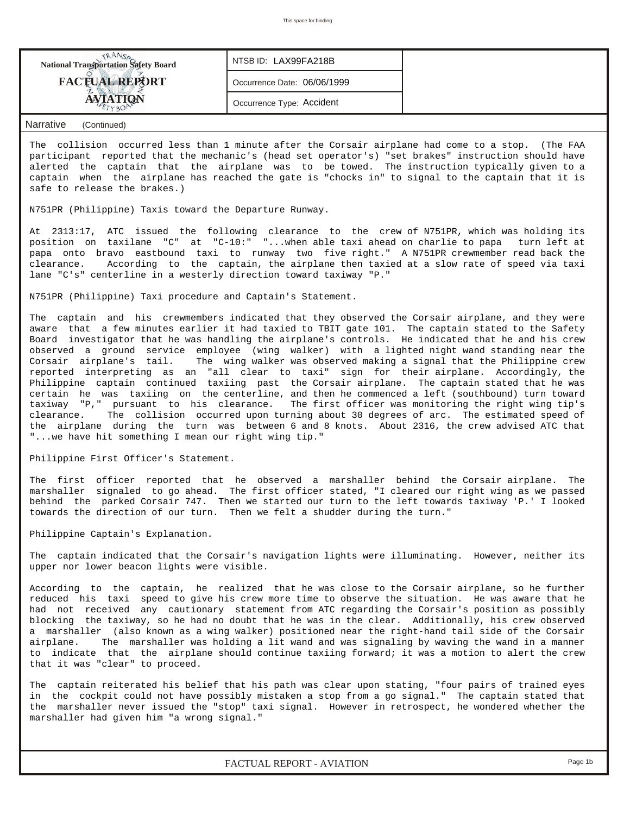| <b>National Transportation Safety Board</b> | NTSB ID: LAX99FA218B        |  |
|---------------------------------------------|-----------------------------|--|
| <b>FACTUAL REPORT</b>                       | Occurrence Date: 06/06/1999 |  |
|                                             | Occurrence Type: Accident   |  |
|                                             |                             |  |

#### *Narrative (Continued)*

The collision occurred less than 1 minute after the Corsair airplane had come to a stop. (The FAA participant reported that the mechanic's (head set operator's) "set brakes" instruction should have alerted the captain that the airplane was to be towed. The instruction typically given to a captain when the airplane has reached the gate is "chocks in" to signal to the captain that it is safe to release the brakes.)

N751PR (Philippine) Taxis toward the Departure Runway.

At 2313:17, ATC issued the following clearance to the crew of N751PR, which was holding its position on taxilane "C" at "C-10:" "...when able taxi ahead on charlie to papa turn left at papa onto bravo eastbound taxi to runway two five right." A N751PR crewmember read back the clearance. According to the captain, the airplane then taxied at a slow rate of speed via taxi lane "C's" centerline in a westerly direction toward taxiway "P."

N751PR (Philippine) Taxi procedure and Captain's Statement.

The captain and his crewmembers indicated that they observed the Corsair airplane, and they were aware that a few minutes earlier it had taxied to TBIT gate 101. The captain stated to the Safety Board investigator that he was handling the airplane's controls. He indicated that he and his crew observed a ground service employee (wing walker) with a lighted night wand standing near the Corsair airplane's tail. The wing walker was observed making a signal that the Philippine crew reported interpreting as an "all clear to taxi" sign for their airplane. Accordingly, the Philippine captain continued taxiing past the Corsair airplane. The captain stated that he was certain he was taxiing on the centerline, and then he commenced a left (southbound) turn toward taxiway "P," pursuant to his clearance. The first officer was monitoring the right wing tip's clearance. The collision occurred upon turning about 30 degrees of arc. The estimated speed of the airplane during the turn was between 6 and 8 knots. About 2316, the crew advised ATC that "...we have hit something I mean our right wing tip."

Philippine First Officer's Statement.

The first officer reported that he observed a marshaller behind the Corsair airplane. The marshaller signaled to go ahead. The first officer stated, "I cleared our right wing as we passed behind the parked Corsair 747. Then we started our turn to the left towards taxiway 'P.' I looked towards the direction of our turn. Then we felt a shudder during the turn."

Philippine Captain's Explanation.

The captain indicated that the Corsair's navigation lights were illuminating. However, neither its upper nor lower beacon lights were visible.

According to the captain, he realized that he was close to the Corsair airplane, so he further reduced his taxi speed to give his crew more time to observe the situation. He was aware that he had not received any cautionary statement from ATC regarding the Corsair's position as possibly blocking the taxiway, so he had no doubt that he was in the clear. Additionally, his crew observed a marshaller (also known as a wing walker) positioned near the right-hand tail side of the Corsair airplane. The marshaller was holding a lit wand and was signaling by waving the wand in a manner to indicate that the airplane should continue taxiing forward; it was a motion to alert the crew that it was "clear" to proceed.

The captain reiterated his belief that his path was clear upon stating, "four pairs of trained eyes in the cockpit could not have possibly mistaken a stop from a go signal." The captain stated that the marshaller never issued the "stop" taxi signal. However in retrospect, he wondered whether the marshaller had given him "a wrong signal."

*FACTUAL REPORT - AVIATION Page 1b*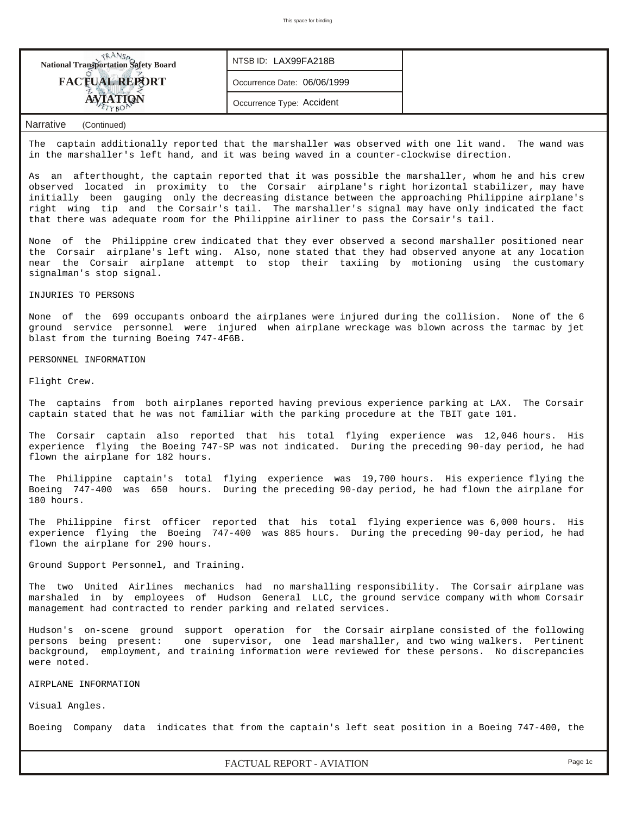| <b>National Transportation Safety Board</b>                                                                                                                                                      | NTSB ID: LAX99FA218B        |  |  |  |  |  |  |
|--------------------------------------------------------------------------------------------------------------------------------------------------------------------------------------------------|-----------------------------|--|--|--|--|--|--|
| <b>FACTUAL REPORT</b>                                                                                                                                                                            | Occurrence Date: 06/06/1999 |  |  |  |  |  |  |
| <b>AVIATION</b>                                                                                                                                                                                  | Occurrence Type: Accident   |  |  |  |  |  |  |
| Narrative<br>(Continued)                                                                                                                                                                         |                             |  |  |  |  |  |  |
| captain additionally reported that the marshaller was observed with one lit wand. The wand was<br>The<br>in the marshaller's left hand, and it was being waved in a counter-clockwise direction. |                             |  |  |  |  |  |  |

As an afterthought, the captain reported that it was possible the marshaller, whom he and his crew observed located in proximity to the Corsair airplane's right horizontal stabilizer, may have initially been gauging only the decreasing distance between the approaching Philippine airplane's right wing tip and the Corsair's tail. The marshaller's signal may have only indicated the fact that there was adequate room for the Philippine airliner to pass the Corsair's tail.

None of the Philippine crew indicated that they ever observed a second marshaller positioned near the Corsair airplane's left wing. Also, none stated that they had observed anyone at any location near the Corsair airplane attempt to stop their taxiing by motioning using the customary signalman's stop signal.

INJURIES TO PERSONS

None of the 699 occupants onboard the airplanes were injured during the collision. None of the 6 ground service personnel were injured when airplane wreckage was blown across the tarmac by jet blast from the turning Boeing 747-4F6B.

PERSONNEL INFORMATION

Flight Crew.

The captains from both airplanes reported having previous experience parking at LAX. The Corsair captain stated that he was not familiar with the parking procedure at the TBIT gate 101.

The Corsair captain also reported that his total flying experience was 12,046 hours. His experience flying the Boeing 747-SP was not indicated. During the preceding 90-day period, he had flown the airplane for 182 hours.

The Philippine captain's total flying experience was 19,700 hours. His experience flying the Boeing 747-400 was 650 hours. During the preceding 90-day period, he had flown the airplane for 180 hours.

The Philippine first officer reported that his total flying experience was 6,000 hours. His experience flying the Boeing 747-400 was 885 hours. During the preceding 90-day period, he had flown the airplane for 290 hours.

Ground Support Personnel, and Training.

The two United Airlines mechanics had no marshalling responsibility. The Corsair airplane was marshaled in by employees of Hudson General LLC, the ground service company with whom Corsair management had contracted to render parking and related services.

Hudson's on-scene ground support operation for the Corsair airplane consisted of the following persons being present: one supervisor, one lead marshaller, and two wing walkers. Pertinent background, employment, and training information were reviewed for these persons. No discrepancies were noted.

AIRPLANE INFORMATION

Visual Angles.

Boeing Company data indicates that from the captain's left seat position in a Boeing 747-400, the

*FACTUAL REPORT - AVIATION Page 1c*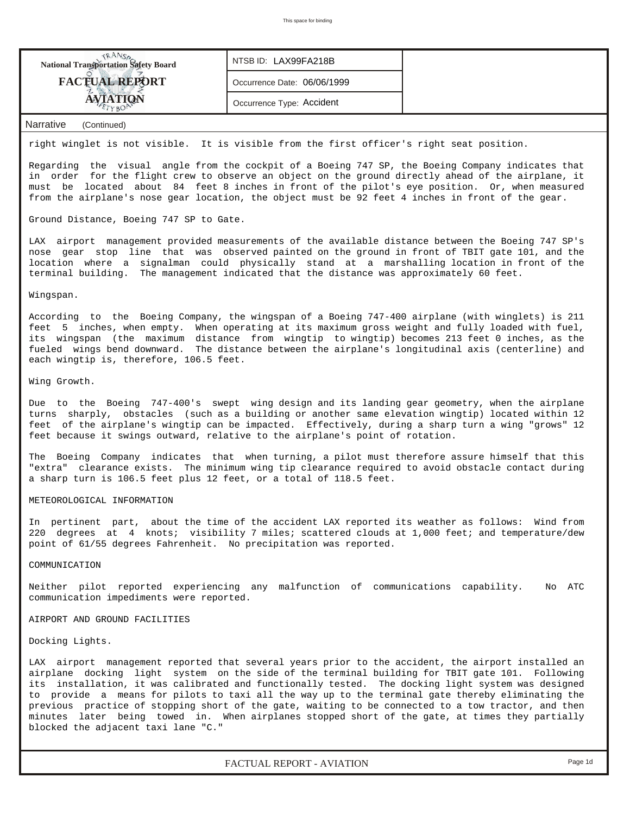

#### right winglet is not visible. It is visible from the first officer's right seat position.

Regarding the visual angle from the cockpit of a Boeing 747 SP, the Boeing Company indicates that in order for the flight crew to observe an object on the ground directly ahead of the airplane, it must be located about 84 feet 8 inches in front of the pilot's eye position. Or, when measured from the airplane's nose gear location, the object must be 92 feet 4 inches in front of the gear.

Ground Distance, Boeing 747 SP to Gate.

LAX airport management provided measurements of the available distance between the Boeing 747 SP's nose gear stop line that was observed painted on the ground in front of TBIT gate 101, and the location where a signalman could physically stand at a marshalling location in front of the terminal building. The management indicated that the distance was approximately 60 feet.

#### Wingspan.

According to the Boeing Company, the wingspan of a Boeing 747-400 airplane (with winglets) is 211 feet 5 inches, when empty. When operating at its maximum gross weight and fully loaded with fuel, its wingspan (the maximum distance from wingtip to wingtip) becomes 213 feet 0 inches, as the fueled wings bend downward. The distance between the airplane's longitudinal axis (centerline) and each wingtip is, therefore, 106.5 feet.

#### Wing Growth.

Due to the Boeing 747-400's swept wing design and its landing gear geometry, when the airplane turns sharply, obstacles (such as a building or another same elevation wingtip) located within 12 feet of the airplane's wingtip can be impacted. Effectively, during a sharp turn a wing "grows" 12 feet because it swings outward, relative to the airplane's point of rotation.

The Boeing Company indicates that when turning, a pilot must therefore assure himself that this "extra" clearance exists. The minimum wing tip clearance required to avoid obstacle contact during a sharp turn is 106.5 feet plus 12 feet, or a total of 118.5 feet.

#### METEOROLOGICAL INFORMATION

In pertinent part, about the time of the accident LAX reported its weather as follows: Wind from 220 degrees at 4 knots; visibility 7 miles; scattered clouds at 1,000 feet; and temperature/dew point of 61/55 degrees Fahrenheit. No precipitation was reported.

#### COMMUNICATION

Neither pilot reported experiencing any malfunction of communications capability. No ATC communication impediments were reported.

#### AIRPORT AND GROUND FACILITIES

Docking Lights.

LAX airport management reported that several years prior to the accident, the airport installed an airplane docking light system on the side of the terminal building for TBIT gate 101. Following its installation, it was calibrated and functionally tested. The docking light system was designed to provide a means for pilots to taxi all the way up to the terminal gate thereby eliminating the previous practice of stopping short of the gate, waiting to be connected to a tow tractor, and then minutes later being towed in. When airplanes stopped short of the gate, at times they partially blocked the adjacent taxi lane "C."

*FACTUAL REPORT - AVIATION Page 1d*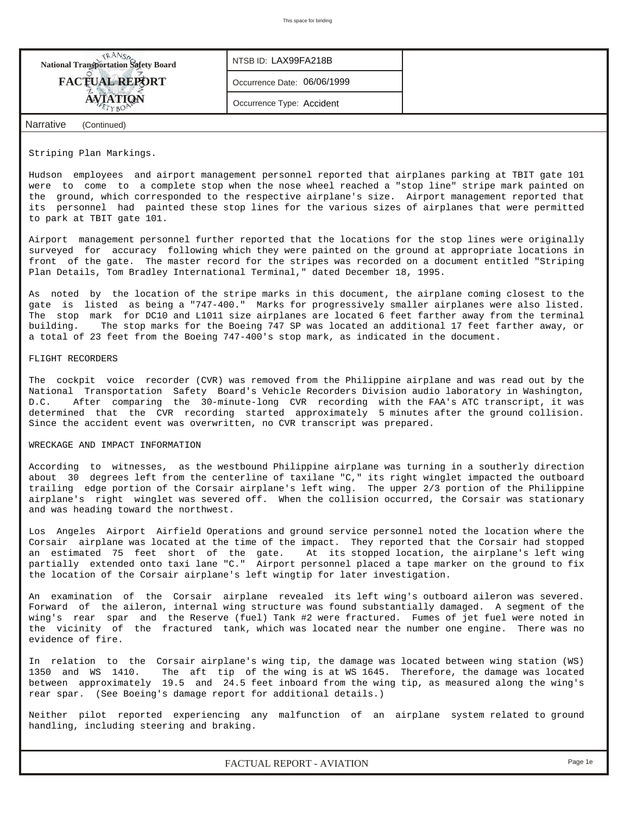| <b>National Transportation Safety Board</b> | NTSB ID: LAX99FA218B        |  |
|---------------------------------------------|-----------------------------|--|
| <b>FACTUAL REPORT</b>                       | Occurrence Date: 06/06/1999 |  |
| <b>ATION</b>                                | Occurrence Type: Accident   |  |
| Narrative<br>(Continued)                    |                             |  |

Striping Plan Markings.

Hudson employees and airport management personnel reported that airplanes parking at TBIT gate 101 were to come to a complete stop when the nose wheel reached a "stop line" stripe mark painted on the ground, which corresponded to the respective airplane's size. Airport management reported that its personnel had painted these stop lines for the various sizes of airplanes that were permitted to park at TBIT gate 101.

Airport management personnel further reported that the locations for the stop lines were originally surveyed for accuracy following which they were painted on the ground at appropriate locations in front of the gate. The master record for the stripes was recorded on a document entitled "Striping Plan Details, Tom Bradley International Terminal," dated December 18, 1995.

As noted by the location of the stripe marks in this document, the airplane coming closest to the gate is listed as being a "747-400." Marks for progressively smaller airplanes were also listed. The stop mark for DC10 and L1011 size airplanes are located 6 feet farther away from the terminal building. The stop marks for the Boeing 747 SP was located an additional 17 feet farther away, or a total of 23 feet from the Boeing 747-400's stop mark, as indicated in the document.

#### FLIGHT RECORDERS

The cockpit voice recorder (CVR) was removed from the Philippine airplane and was read out by the National Transportation Safety Board's Vehicle Recorders Division audio laboratory in Washington, D.C. After comparing the 30-minute-long CVR recording with the FAA's ATC transcript, it was determined that the CVR recording started approximately 5 minutes after the ground collision. Since the accident event was overwritten, no CVR transcript was prepared.

## WRECKAGE AND IMPACT INFORMATION

According to witnesses, as the westbound Philippine airplane was turning in a southerly direction about 30 degrees left from the centerline of taxilane "C," its right winglet impacted the outboard trailing edge portion of the Corsair airplane's left wing. The upper 2/3 portion of the Philippine airplane's right winglet was severed off. When the collision occurred, the Corsair was stationary and was heading toward the northwest.

Los Angeles Airport Airfield Operations and ground service personnel noted the location where the Corsair airplane was located at the time of the impact. They reported that the Corsair had stopped an estimated 75 feet short of the gate. At its stopped location, the airplane's left wing partially extended onto taxi lane "C." Airport personnel placed a tape marker on the ground to fix the location of the Corsair airplane's left wingtip for later investigation.

An examination of the Corsair airplane revealed its left wing's outboard aileron was severed. Forward of the aileron, internal wing structure was found substantially damaged. A segment of the wing's rear spar and the Reserve (fuel) Tank #2 were fractured. Fumes of jet fuel were noted in the vicinity of the fractured tank, which was located near the number one engine. There was no evidence of fire.

In relation to the Corsair airplane's wing tip, the damage was located between wing station (WS) 1350 and WS 1410. The aft tip of the wing is at WS 1645. Therefore, the damage was located between approximately 19.5 and 24.5 feet inboard from the wing tip, as measured along the wing's rear spar. (See Boeing's damage report for additional details.)

Neither pilot reported experiencing any malfunction of an airplane system related to ground handling, including steering and braking.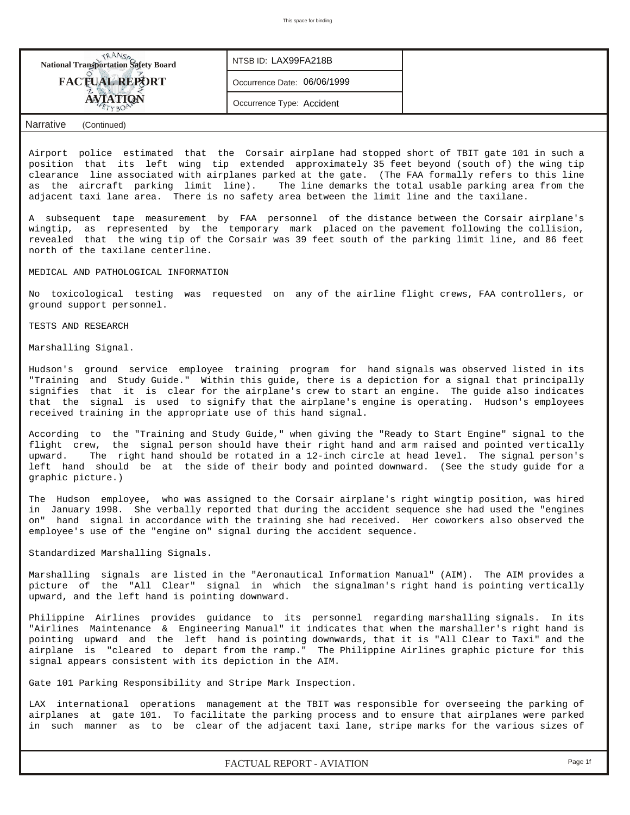| <b>National Transportation Safety Board</b> | NTSB ID: LAX99FA218B        |  |
|---------------------------------------------|-----------------------------|--|
| <b>FACTUAL REPORT</b>                       | Occurrence Date: 06/06/1999 |  |
| <b>ATION</b>                                | Occurrence Type: Accident   |  |
| <b>Narrative</b><br>(Continued)             |                             |  |

Airport police estimated that the Corsair airplane had stopped short of TBIT gate 101 in such a position that its left wing tip extended approximately 35 feet beyond (south of) the wing tip clearance line associated with airplanes parked at the gate. (The FAA formally refers to this line as the aircraft parking limit line). The line demarks the total usable parking area from the adjacent taxi lane area. There is no safety area between the limit line and the taxilane.

A subsequent tape measurement by FAA personnel of the distance between the Corsair airplane's wingtip, as represented by the temporary mark placed on the pavement following the collision, revealed that the wing tip of the Corsair was 39 feet south of the parking limit line, and 86 feet north of the taxilane centerline.

### MEDICAL AND PATHOLOGICAL INFORMATION

No toxicological testing was requested on any of the airline flight crews, FAA controllers, or ground support personnel.

TESTS AND RESEARCH

Marshalling Signal.

Hudson's ground service employee training program for hand signals was observed listed in its "Training and Study Guide." Within this guide, there is a depiction for a signal that principally signifies that it is clear for the airplane's crew to start an engine. The guide also indicates that the signal is used to signify that the airplane's engine is operating. Hudson's employees received training in the appropriate use of this hand signal.

According to the "Training and Study Guide," when giving the "Ready to Start Engine" signal to the flight crew, the signal person should have their right hand and arm raised and pointed vertically upward. The right hand should be rotated in a 12-inch circle at head level. The signal person's left hand should be at the side of their body and pointed downward. (See the study guide for a graphic picture.)

The Hudson employee, who was assigned to the Corsair airplane's right wingtip position, was hired in January 1998. She verbally reported that during the accident sequence she had used the "engines on" hand signal in accordance with the training she had received. Her coworkers also observed the employee's use of the "engine on" signal during the accident sequence.

Standardized Marshalling Signals.

Marshalling signals are listed in the "Aeronautical Information Manual" (AIM). The AIM provides a picture of the "All Clear" signal in which the signalman's right hand is pointing vertically upward, and the left hand is pointing downward.

Philippine Airlines provides guidance to its personnel regarding marshalling signals. In its "Airlines Maintenance & Engineering Manual" it indicates that when the marshaller's right hand is pointing upward and the left hand is pointing downwards, that it is "All Clear to Taxi" and the airplane is "cleared to depart from the ramp." The Philippine Airlines graphic picture for this signal appears consistent with its depiction in the AIM.

Gate 101 Parking Responsibility and Stripe Mark Inspection.

LAX international operations management at the TBIT was responsible for overseeing the parking of airplanes at gate 101. To facilitate the parking process and to ensure that airplanes were parked in such manner as to be clear of the adjacent taxi lane, stripe marks for the various sizes of

*FACTUAL REPORT - AVIATION Page 1f*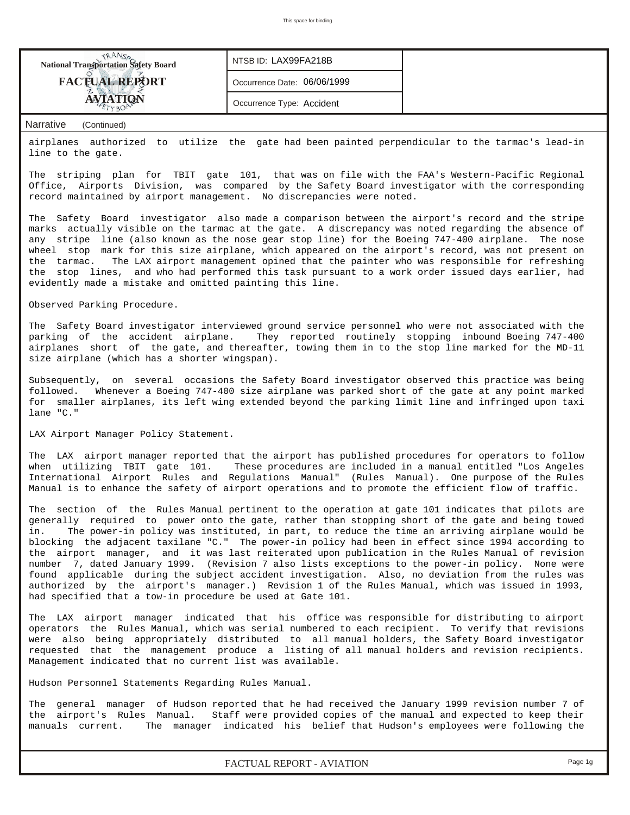| <b>National Transportation Safety Board</b>                                                                          | NTSB ID: LAX99FA218B        |  |  |  |  |  |
|----------------------------------------------------------------------------------------------------------------------|-----------------------------|--|--|--|--|--|
| <b>FACTUAL REPORT</b>                                                                                                | Occurrence Date: 06/06/1999 |  |  |  |  |  |
| AVIATION                                                                                                             | Occurrence Type: Accident   |  |  |  |  |  |
| Narrative<br>(Continued)                                                                                             |                             |  |  |  |  |  |
| airplanes authorized to utilize the gate had been painted perpendicular to the tarmac's lead-in<br>line to the gate. |                             |  |  |  |  |  |

The striping plan for TBIT gate 101, that was on file with the FAA's Western-Pacific Regional Office, Airports Division, was compared by the Safety Board investigator with the corresponding record maintained by airport management. No discrepancies were noted.

The Safety Board investigator also made a comparison between the airport's record and the stripe marks actually visible on the tarmac at the gate. A discrepancy was noted regarding the absence of any stripe line (also known as the nose gear stop line) for the Boeing 747-400 airplane. The nose wheel stop mark for this size airplane, which appeared on the airport's record, was not present on the tarmac. The LAX airport management opined that the painter who was responsible for refreshing the stop lines, and who had performed this task pursuant to a work order issued days earlier, had evidently made a mistake and omitted painting this line.

Observed Parking Procedure.

The Safety Board investigator interviewed ground service personnel who were not associated with the parking of the accident airplane. They reported routinely stopping inbound Boeing 747-400 airplanes short of the gate, and thereafter, towing them in to the stop line marked for the MD-11 size airplane (which has a shorter wingspan).

Subsequently, on several occasions the Safety Board investigator observed this practice was being followed. Whenever a Boeing 747-400 size airplane was parked short of the gate at any point marked for smaller airplanes, its left wing extended beyond the parking limit line and infringed upon taxi lane "C."

LAX Airport Manager Policy Statement.

The LAX airport manager reported that the airport has published procedures for operators to follow when utilizing TBIT gate 101. These procedures are included in a manual entitled "Los Angeles International Airport Rules and Regulations Manual" (Rules Manual). One purpose of the Rules Manual is to enhance the safety of airport operations and to promote the efficient flow of traffic.

The section of the Rules Manual pertinent to the operation at gate 101 indicates that pilots are generally required to power onto the gate, rather than stopping short of the gate and being towed in. The power-in policy was instituted, in part, to reduce the time an arriving airplane would be blocking the adjacent taxilane "C." The power-in policy had been in effect since 1994 according to the airport manager, and it was last reiterated upon publication in the Rules Manual of revision number 7, dated January 1999. (Revision 7 also lists exceptions to the power-in policy. None were found applicable during the subject accident investigation. Also, no deviation from the rules was authorized by the airport's manager.) Revision 1 of the Rules Manual, which was issued in 1993, had specified that a tow-in procedure be used at Gate 101.

The LAX airport manager indicated that his office was responsible for distributing to airport operators the Rules Manual, which was serial numbered to each recipient. To verify that revisions were also being appropriately distributed to all manual holders, the Safety Board investigator requested that the management produce a listing of all manual holders and revision recipients. Management indicated that no current list was available.

Hudson Personnel Statements Regarding Rules Manual.

The general manager of Hudson reported that he had received the January 1999 revision number 7 of the airport's Rules Manual. Staff were provided copies of the manual and expected to keep their manuals current. The manager indicated his belief that Hudson's employees were following the

*FACTUAL REPORT - AVIATION Page 1g*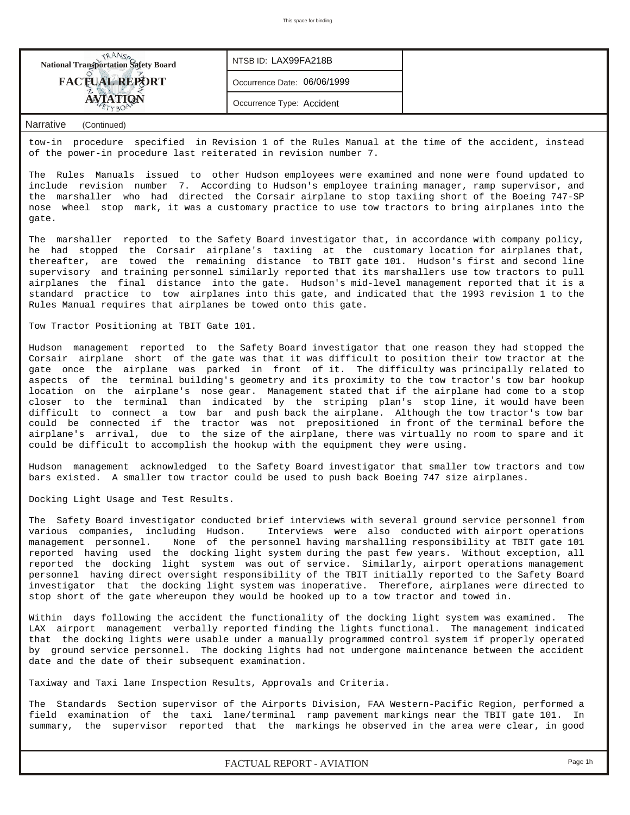

## *Narrative (Continued)*

tow-in procedure specified in Revision 1 of the Rules Manual at the time of the accident, instead of the power-in procedure last reiterated in revision number 7.

The Rules Manuals issued to other Hudson employees were examined and none were found updated to include revision number 7. According to Hudson's employee training manager, ramp supervisor, and the marshaller who had directed the Corsair airplane to stop taxiing short of the Boeing 747-SP nose wheel stop mark, it was a customary practice to use tow tractors to bring airplanes into the gate.

The marshaller reported to the Safety Board investigator that, in accordance with company policy, he had stopped the Corsair airplane's taxiing at the customary location for airplanes that, thereafter, are towed the remaining distance to TBIT gate 101. Hudson's first and second line supervisory and training personnel similarly reported that its marshallers use tow tractors to pull airplanes the final distance into the gate. Hudson's mid-level management reported that it is a standard practice to tow airplanes into this gate, and indicated that the 1993 revision 1 to the Rules Manual requires that airplanes be towed onto this gate.

#### Tow Tractor Positioning at TBIT Gate 101.

Hudson management reported to the Safety Board investigator that one reason they had stopped the Corsair airplane short of the gate was that it was difficult to position their tow tractor at the gate once the airplane was parked in front of it. The difficulty was principally related to aspects of the terminal building's geometry and its proximity to the tow tractor's tow bar hookup location on the airplane's nose gear. Management stated that if the airplane had come to a stop closer to the terminal than indicated by the striping plan's stop line, it would have been difficult to connect a tow bar and push back the airplane. Although the tow tractor's tow bar could be connected if the tractor was not prepositioned in front of the terminal before the airplane's arrival, due to the size of the airplane, there was virtually no room to spare and it could be difficult to accomplish the hookup with the equipment they were using.

Hudson management acknowledged to the Safety Board investigator that smaller tow tractors and tow bars existed. A smaller tow tractor could be used to push back Boeing 747 size airplanes.

Docking Light Usage and Test Results.

The Safety Board investigator conducted brief interviews with several ground service personnel from various companies, including Hudson. Interviews were also conducted with airport operations management personnel. None of the personnel having marshalling responsibility at TBIT gate 101 reported having used the docking light system during the past few years. Without exception, all reported the docking light system was out of service. Similarly, airport operations management personnel having direct oversight responsibility of the TBIT initially reported to the Safety Board investigator that the docking light system was inoperative. Therefore, airplanes were directed to stop short of the gate whereupon they would be hooked up to a tow tractor and towed in.

Within days following the accident the functionality of the docking light system was examined. The LAX airport management verbally reported finding the lights functional. The management indicated that the docking lights were usable under a manually programmed control system if properly operated by ground service personnel. The docking lights had not undergone maintenance between the accident date and the date of their subsequent examination.

Taxiway and Taxi lane Inspection Results, Approvals and Criteria.

The Standards Section supervisor of the Airports Division, FAA Western-Pacific Region, performed a field examination of the taxi lane/terminal ramp pavement markings near the TBIT gate 101. In summary, the supervisor reported that the markings he observed in the area were clear, in good

*FACTUAL REPORT - AVIATION Page 1h*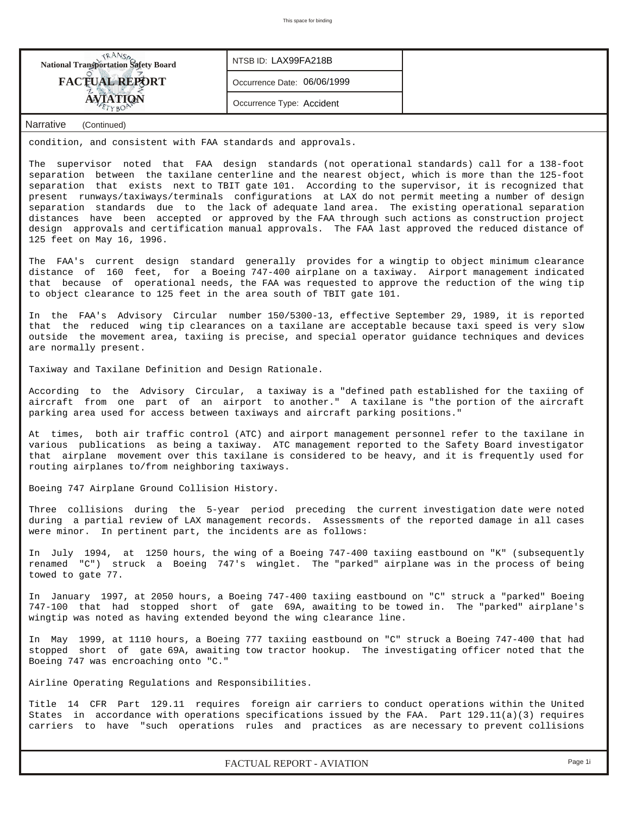

According to the Advisory Circular, a taxiway is a "defined path established for the taxiing of aircraft from one part of an airport to another." A taxilane is "the portion of the aircraft parking area used for access between taxiways and aircraft parking positions."

At times, both air traffic control (ATC) and airport management personnel refer to the taxilane in various publications as being a taxiway. ATC management reported to the Safety Board investigator that airplane movement over this taxilane is considered to be heavy, and it is frequently used for routing airplanes to/from neighboring taxiways.

Boeing 747 Airplane Ground Collision History.

Three collisions during the 5-year period preceding the current investigation date were noted during a partial review of LAX management records. Assessments of the reported damage in all cases were minor. In pertinent part, the incidents are as follows:

In July 1994, at 1250 hours, the wing of a Boeing 747-400 taxiing eastbound on "K" (subsequently renamed "C") struck a Boeing 747's winglet. The "parked" airplane was in the process of being towed to gate 77.

In January 1997, at 2050 hours, a Boeing 747-400 taxiing eastbound on "C" struck a "parked" Boeing 747-100 that had stopped short of gate 69A, awaiting to be towed in. The "parked" airplane's wingtip was noted as having extended beyond the wing clearance line.

In May 1999, at 1110 hours, a Boeing 777 taxiing eastbound on "C" struck a Boeing 747-400 that had stopped short of gate 69A, awaiting tow tractor hookup. The investigating officer noted that the Boeing 747 was encroaching onto "C."

Airline Operating Regulations and Responsibilities.

Title 14 CFR Part 129.11 requires foreign air carriers to conduct operations within the United States in accordance with operations specifications issued by the FAA. Part 129.11(a)(3) requires carriers to have "such operations rules and practices as are necessary to prevent collisions

*FACTUAL REPORT - AVIATION Page 1i*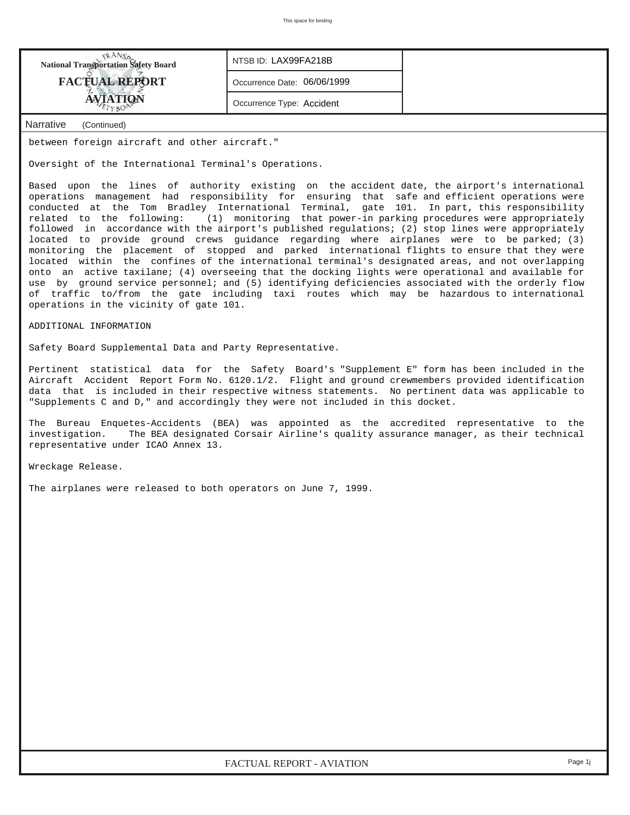| <b>National Transportation Safety Board</b> | NTSB ID: LAX99FA218B        |
|---------------------------------------------|-----------------------------|
| <b>FACTUAL REPORT</b>                       | Occurrence Date: 06/06/1999 |
| <b>AVIATION</b>                             | Occurrence Type: Accident   |
| Narrative<br>(Continued)                    |                             |

## between foreign aircraft and other aircraft."

Oversight of the International Terminal's Operations.

Based upon the lines of authority existing on the accident date, the airport's international operations management had responsibility for ensuring that safe and efficient operations were conducted at the Tom Bradley International Terminal, gate 101. In part, this responsibility related to the following: (1) monitoring that power-in parking procedures were appropriately followed in accordance with the airport's published regulations; (2) stop lines were appropriately located to provide ground crews guidance regarding where airplanes were to be parked; (3) monitoring the placement of stopped and parked international flights to ensure that they were located within the confines of the international terminal's designated areas, and not overlapping onto an active taxilane; (4) overseeing that the docking lights were operational and available for use by ground service personnel; and (5) identifying deficiencies associated with the orderly flow of traffic to/from the gate including taxi routes which may be hazardous to international operations in the vicinity of gate 101.

ADDITIONAL INFORMATION

Safety Board Supplemental Data and Party Representative.

Pertinent statistical data for the Safety Board's "Supplement E" form has been included in the Aircraft Accident Report Form No. 6120.1/2. Flight and ground crewmembers provided identification data that is included in their respective witness statements. No pertinent data was applicable to "Supplements C and D," and accordingly they were not included in this docket.

The Bureau Enquetes-Accidents (BEA) was appointed as the accredited representative to the investigation. The BEA designated Corsair Airline's quality assurance manager, as their technical representative under ICAO Annex 13.

Wreckage Release.

The airplanes were released to both operators on June 7, 1999.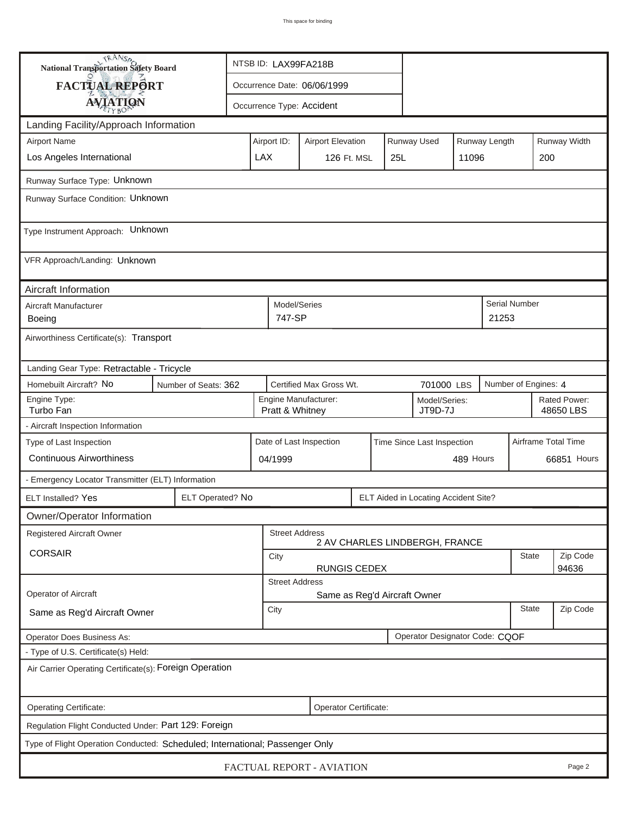| <b>National Transportation Safety Board</b>             |                                                                              |                                                       |                        | NTSB ID: LAX99FA218B                    |  |     |                                      |          |                     |                           |              |
|---------------------------------------------------------|------------------------------------------------------------------------------|-------------------------------------------------------|------------------------|-----------------------------------------|--|-----|--------------------------------------|----------|---------------------|---------------------------|--------------|
| <b>FACTUAL REPORT</b>                                   |                                                                              | Occurrence Date: 06/06/1999                           |                        |                                         |  |     |                                      |          |                     |                           |              |
| <b>AVIATION</b>                                         |                                                                              | Occurrence Type: Accident                             |                        |                                         |  |     |                                      |          |                     |                           |              |
| Landing Facility/Approach Information                   |                                                                              |                                                       |                        |                                         |  |     |                                      |          |                     |                           |              |
| <b>Airport Name</b>                                     |                                                                              | Airport ID:                                           |                        | <b>Airport Elevation</b>                |  |     | Runway Used                          |          | Runway Length       |                           | Runway Width |
| Los Angeles International                               |                                                                              | <b>LAX</b>                                            |                        | 126 Ft. MSL                             |  | 25L |                                      | 11096    |                     | 200                       |              |
| Runway Surface Type: Unknown                            |                                                                              |                                                       |                        |                                         |  |     |                                      |          |                     |                           |              |
| Runway Surface Condition: Unknown                       |                                                                              |                                                       |                        |                                         |  |     |                                      |          |                     |                           |              |
| Type Instrument Approach: Unknown                       |                                                                              |                                                       |                        |                                         |  |     |                                      |          |                     |                           |              |
| VFR Approach/Landing: Unknown                           |                                                                              |                                                       |                        |                                         |  |     |                                      |          |                     |                           |              |
| Aircraft Information                                    |                                                                              |                                                       |                        |                                         |  |     |                                      |          |                     |                           |              |
| Aircraft Manufacturer<br>Boeing                         |                                                                              |                                                       | Model/Series<br>747-SP |                                         |  |     |                                      |          | 21253               | Serial Number             |              |
| Airworthiness Certificate(s): Transport                 |                                                                              |                                                       |                        |                                         |  |     |                                      |          |                     |                           |              |
| Landing Gear Type: Retractable - Tricycle               |                                                                              |                                                       |                        |                                         |  |     |                                      |          |                     |                           |              |
| Homebuilt Aircraft? No<br>Number of Seats: 362          |                                                                              |                                                       |                        | Certified Max Gross Wt.                 |  |     | 701000 LBS                           |          |                     | Number of Engines: 4      |              |
| Engine Type:<br>Turbo Fan                               |                                                                              |                                                       |                        | Engine Manufacturer:<br>Pratt & Whitney |  |     | Model/Series:<br>JT9D-7J             |          |                     | Rated Power:<br>48650 LBS |              |
| - Aircraft Inspection Information                       |                                                                              |                                                       |                        |                                         |  |     |                                      |          |                     |                           |              |
| Type of Last Inspection                                 |                                                                              | Date of Last Inspection<br>Time Since Last Inspection |                        |                                         |  |     |                                      |          | Airframe Total Time |                           |              |
| <b>Continuous Airworthiness</b>                         |                                                                              |                                                       | 489 Hours<br>04/1999   |                                         |  |     |                                      |          | 66851 Hours         |                           |              |
| - Emergency Locator Transmitter (ELT) Information       |                                                                              |                                                       |                        |                                         |  |     |                                      |          |                     |                           |              |
| ELT Installed? Yes                                      | ELT Operated? No                                                             |                                                       |                        |                                         |  |     | ELT Aided in Locating Accident Site? |          |                     |                           |              |
| Owner/Operator Information                              |                                                                              |                                                       |                        |                                         |  |     |                                      |          |                     |                           |              |
| Registered Aircraft Owner                               |                                                                              |                                                       | <b>Street Address</b>  |                                         |  |     | 2 AV CHARLES LINDBERGH, FRANCE       |          |                     |                           |              |
| <b>CORSAIR</b>                                          |                                                                              | <b>State</b><br>City                                  |                        |                                         |  |     |                                      | Zip Code |                     |                           |              |
|                                                         |                                                                              |                                                       | <b>Street Address</b>  | <b>RUNGIS CEDEX</b>                     |  |     |                                      |          |                     |                           | 94636        |
| Operator of Aircraft                                    |                                                                              |                                                       |                        | Same as Reg'd Aircraft Owner            |  |     |                                      |          |                     |                           |              |
| Same as Reg'd Aircraft Owner                            |                                                                              | City                                                  |                        |                                         |  |     |                                      |          |                     | <b>State</b>              | Zip Code     |
| Operator Does Business As:                              |                                                                              |                                                       |                        |                                         |  |     | Operator Designator Code: CQOF       |          |                     |                           |              |
| - Type of U.S. Certificate(s) Held:                     |                                                                              |                                                       |                        |                                         |  |     |                                      |          |                     |                           |              |
| Air Carrier Operating Certificate(s): Foreign Operation |                                                                              |                                                       |                        |                                         |  |     |                                      |          |                     |                           |              |
| Operating Certificate:<br>Operator Certificate:         |                                                                              |                                                       |                        |                                         |  |     |                                      |          |                     |                           |              |
| Regulation Flight Conducted Under: Part 129: Foreign    |                                                                              |                                                       |                        |                                         |  |     |                                      |          |                     |                           |              |
|                                                         | Type of Flight Operation Conducted: Scheduled; International; Passenger Only |                                                       |                        |                                         |  |     |                                      |          |                     |                           |              |
| FACTUAL REPORT - AVIATION<br>Page 2                     |                                                                              |                                                       |                        |                                         |  |     |                                      |          |                     |                           |              |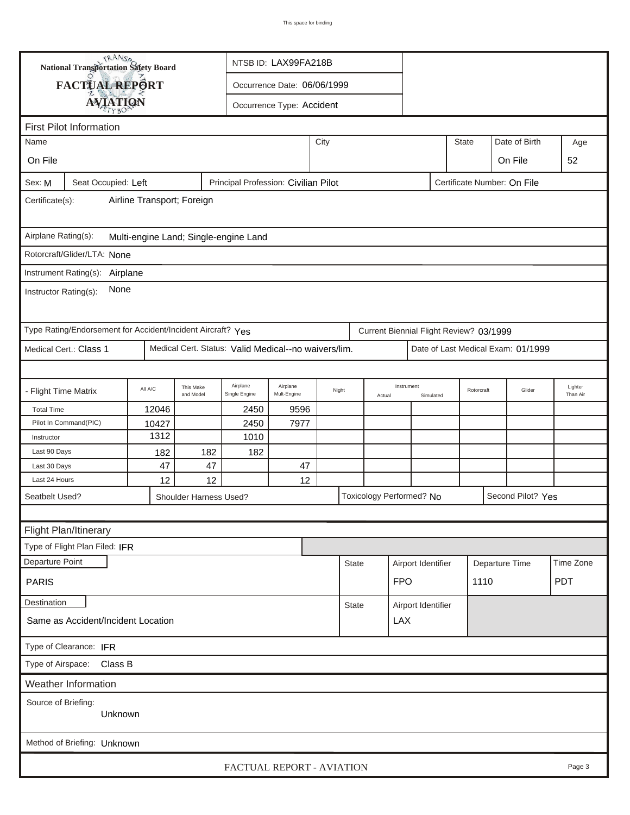|                                                                                                      | <b>National Transportation Safety Board</b>                 |          |                        |                                                      | NTSB ID: LAX99FA218B      |       |              |        |                                         |           |              |            |                                    |                     |
|------------------------------------------------------------------------------------------------------|-------------------------------------------------------------|----------|------------------------|------------------------------------------------------|---------------------------|-------|--------------|--------|-----------------------------------------|-----------|--------------|------------|------------------------------------|---------------------|
|                                                                                                      | FACTUAL REPORT                                              |          |                        | Occurrence Date: 06/06/1999                          |                           |       |              |        |                                         |           |              |            |                                    |                     |
|                                                                                                      |                                                             |          |                        |                                                      | Occurrence Type: Accident |       |              |        |                                         |           |              |            |                                    |                     |
| <b>AVIATION</b>                                                                                      |                                                             |          |                        |                                                      |                           |       |              |        |                                         |           |              |            |                                    |                     |
| <b>First Pilot Information</b><br>Date of Birth                                                      |                                                             |          |                        |                                                      |                           |       |              |        |                                         |           |              |            |                                    |                     |
| Name                                                                                                 |                                                             |          |                        |                                                      |                           | City  |              |        |                                         |           | <b>State</b> |            |                                    | Age                 |
| On File                                                                                              |                                                             |          |                        |                                                      |                           |       |              |        |                                         |           |              |            | On File                            | 52                  |
| Principal Profession: Civilian Pilot<br>Certificate Number: On File<br>Seat Occupied: Left<br>Sex: M |                                                             |          |                        |                                                      |                           |       |              |        |                                         |           |              |            |                                    |                     |
| Airline Transport; Foreign<br>Certificate(s):                                                        |                                                             |          |                        |                                                      |                           |       |              |        |                                         |           |              |            |                                    |                     |
| Airplane Rating(s):<br>Multi-engine Land; Single-engine Land                                         |                                                             |          |                        |                                                      |                           |       |              |        |                                         |           |              |            |                                    |                     |
| Rotorcraft/Glider/LTA: None                                                                          |                                                             |          |                        |                                                      |                           |       |              |        |                                         |           |              |            |                                    |                     |
|                                                                                                      |                                                             |          |                        |                                                      |                           |       |              |        |                                         |           |              |            |                                    |                     |
| Instrument Rating(s): Airplane<br>None<br>Instructor Rating(s):                                      |                                                             |          |                        |                                                      |                           |       |              |        |                                         |           |              |            |                                    |                     |
|                                                                                                      | Type Rating/Endorsement for Accident/Incident Aircraft? Yes |          |                        |                                                      |                           |       |              |        | Current Biennial Flight Review? 03/1999 |           |              |            |                                    |                     |
|                                                                                                      | Medical Cert.: Class 1                                      |          |                        | Medical Cert. Status: Valid Medical--no waivers/lim. |                           |       |              |        |                                         |           |              |            | Date of Last Medical Exam: 01/1999 |                     |
|                                                                                                      |                                                             |          |                        |                                                      |                           |       |              |        |                                         |           |              |            |                                    |                     |
| - Flight Time Matrix                                                                                 |                                                             | All A/C  | This Make<br>and Model | Airplane<br>Single Engine                            | Airplane<br>Mult-Engine   | Night |              | Actual | Instrument                              | Simulated |              | Rotorcraft | Glider                             | Lighter<br>Than Air |
| <b>Total Time</b>                                                                                    |                                                             | 12046    |                        | 2450                                                 | 9596                      |       |              |        |                                         |           |              |            |                                    |                     |
|                                                                                                      | Pilot In Command(PIC)                                       | 10427    |                        | 2450                                                 | 7977                      |       |              |        |                                         |           |              |            |                                    |                     |
| Instructor                                                                                           |                                                             | 1312     |                        | 1010                                                 |                           |       |              |        |                                         |           |              |            |                                    |                     |
| Last 90 Days                                                                                         |                                                             | 182      | 182                    | 182                                                  |                           |       |              |        |                                         |           |              |            |                                    |                     |
| Last 30 Days<br>Last 24 Hours                                                                        |                                                             | 47<br>12 | 47<br>12               |                                                      | 47<br>12                  |       |              |        |                                         |           |              |            |                                    |                     |
|                                                                                                      |                                                             |          |                        |                                                      |                           |       |              |        | Toxicology Performed? No                |           |              |            | Second Pilot? Yes                  |                     |
| Seatbelt Used?                                                                                       |                                                             |          | Shoulder Harness Used? |                                                      |                           |       |              |        |                                         |           |              |            |                                    |                     |
|                                                                                                      |                                                             |          |                        |                                                      |                           |       |              |        |                                         |           |              |            |                                    |                     |
|                                                                                                      | Flight Plan/Itinerary                                       |          |                        |                                                      |                           |       |              |        |                                         |           |              |            |                                    |                     |
|                                                                                                      | Type of Flight Plan Filed: IFR                              |          |                        |                                                      |                           |       |              |        |                                         |           |              |            |                                    |                     |
| Departure Point                                                                                      |                                                             |          |                        |                                                      |                           |       | <b>State</b> |        | Airport Identifier                      |           |              |            | Departure Time                     | Time Zone           |
| <b>PARIS</b>                                                                                         |                                                             |          |                        |                                                      |                           |       |              |        | <b>FPO</b>                              |           | 1110         |            |                                    | <b>PDT</b>          |
| Destination                                                                                          |                                                             |          |                        |                                                      |                           |       | <b>State</b> |        | Airport Identifier                      |           |              |            |                                    |                     |
|                                                                                                      | Same as Accident/Incident Location                          |          |                        |                                                      |                           |       |              |        | <b>LAX</b>                              |           |              |            |                                    |                     |
|                                                                                                      | Type of Clearance: IFR                                      |          |                        |                                                      |                           |       |              |        |                                         |           |              |            |                                    |                     |
|                                                                                                      | Type of Airspace: Class B                                   |          |                        |                                                      |                           |       |              |        |                                         |           |              |            |                                    |                     |
|                                                                                                      | Weather Information                                         |          |                        |                                                      |                           |       |              |        |                                         |           |              |            |                                    |                     |
|                                                                                                      | Source of Briefing:<br>Unknown                              |          |                        |                                                      |                           |       |              |        |                                         |           |              |            |                                    |                     |
| Method of Briefing: Unknown                                                                          |                                                             |          |                        |                                                      |                           |       |              |        |                                         |           |              |            |                                    |                     |
| FACTUAL REPORT - AVIATION<br>Page 3                                                                  |                                                             |          |                        |                                                      |                           |       |              |        |                                         |           |              |            |                                    |                     |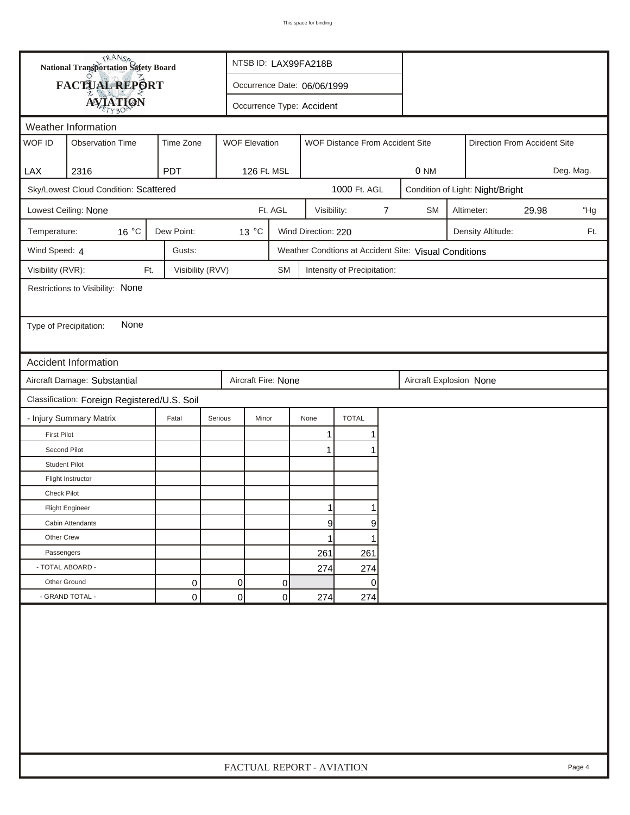|                        | <b>National Transportation Safety Board</b>  |                  |                      | NTSB ID: LAX99FA218B        |                     |                                 |   |                                                       |                              |                                  |       |           |
|------------------------|----------------------------------------------|------------------|----------------------|-----------------------------|---------------------|---------------------------------|---|-------------------------------------------------------|------------------------------|----------------------------------|-------|-----------|
|                        | FACTUAL REPORT                               |                  |                      | Occurrence Date: 06/06/1999 |                     |                                 |   |                                                       |                              |                                  |       |           |
|                        | <b>AVIATION</b>                              |                  |                      | Occurrence Type: Accident   |                     |                                 |   |                                                       |                              |                                  |       |           |
| Weather Information    |                                              |                  |                      |                             |                     |                                 |   |                                                       |                              |                                  |       |           |
| WOF ID                 | <b>Observation Time</b>                      | Time Zone        | <b>WOF Elevation</b> |                             |                     | WOF Distance From Accident Site |   |                                                       | Direction From Accident Site |                                  |       |           |
|                        |                                              |                  |                      |                             |                     |                                 |   |                                                       |                              |                                  |       |           |
| LAX                    | 2316                                         | <b>PDT</b>       |                      | 126 Ft. MSL                 |                     |                                 |   | 0 NM                                                  |                              |                                  |       | Deg. Mag. |
|                        | Sky/Lowest Cloud Condition: Scattered        |                  |                      |                             |                     | 1000 Ft. AGL                    |   |                                                       |                              | Condition of Light: Night/Bright |       |           |
|                        | Lowest Ceiling: None                         |                  |                      | Ft. AGL                     | Visibility:         |                                 | 7 | <b>SM</b>                                             |                              | Altimeter:                       | 29.98 | "Hg       |
| Temperature:           | 16 °C                                        | Dew Point:       | 13 °C                |                             | Wind Direction: 220 |                                 |   |                                                       |                              | Density Altitude:                |       | Ft.       |
| Wind Speed: 4          |                                              | Gusts:           |                      |                             |                     |                                 |   | Weather Condtions at Accident Site: Visual Conditions |                              |                                  |       |           |
| Visibility (RVR):      | Ft.                                          | Visibility (RVV) |                      | <b>SM</b>                   |                     | Intensity of Precipitation:     |   |                                                       |                              |                                  |       |           |
|                        | Restrictions to Visibility: None             |                  |                      |                             |                     |                                 |   |                                                       |                              |                                  |       |           |
|                        |                                              |                  |                      |                             |                     |                                 |   |                                                       |                              |                                  |       |           |
| Type of Precipitation: | None                                         |                  |                      |                             |                     |                                 |   |                                                       |                              |                                  |       |           |
|                        |                                              |                  |                      |                             |                     |                                 |   |                                                       |                              |                                  |       |           |
|                        | <b>Accident Information</b>                  |                  |                      |                             |                     |                                 |   |                                                       |                              |                                  |       |           |
|                        | Aircraft Damage: Substantial                 |                  |                      | Aircraft Fire: None         |                     |                                 |   | Aircraft Explosion None                               |                              |                                  |       |           |
|                        | Classification: Foreign Registered/U.S. Soil |                  |                      |                             |                     |                                 |   |                                                       |                              |                                  |       |           |
|                        | - Injury Summary Matrix                      | Fatal            | Serious              | Minor                       | None                | <b>TOTAL</b>                    |   |                                                       |                              |                                  |       |           |
| <b>First Pilot</b>     |                                              |                  |                      |                             | 1                   | 1                               |   |                                                       |                              |                                  |       |           |
| Second Pilot           |                                              |                  |                      |                             | $\mathbf{1}$        |                                 |   |                                                       |                              |                                  |       |           |
| <b>Student Pilot</b>   |                                              |                  |                      |                             |                     |                                 |   |                                                       |                              |                                  |       |           |
|                        | Flight Instructor                            |                  |                      |                             |                     |                                 |   |                                                       |                              |                                  |       |           |
| <b>Check Pilot</b>     |                                              |                  |                      |                             |                     |                                 |   |                                                       |                              |                                  |       |           |
|                        | <b>Flight Engineer</b>                       |                  |                      |                             | 1                   |                                 |   |                                                       |                              |                                  |       |           |
|                        | Cabin Attendants                             |                  |                      |                             | 9                   | 9                               |   |                                                       |                              |                                  |       |           |
| Other Crew             |                                              |                  |                      |                             | 1                   | 1                               |   |                                                       |                              |                                  |       |           |
| Passengers             |                                              |                  |                      |                             | 261                 | 261                             |   |                                                       |                              |                                  |       |           |
| - TOTAL ABOARD -       |                                              |                  |                      |                             | 274                 | 274                             |   |                                                       |                              |                                  |       |           |
| Other Ground           |                                              | 0                | 0                    | 0                           |                     | 0                               |   |                                                       |                              |                                  |       |           |
|                        | - GRAND TOTAL -                              | 0                | $\overline{0}$       | 0                           | 274                 | 274                             |   |                                                       |                              |                                  |       |           |
|                        |                                              |                  |                      |                             |                     |                                 |   |                                                       |                              |                                  |       |           |
|                        | FACTUAL REPORT - AVIATION<br>Page 4          |                  |                      |                             |                     |                                 |   |                                                       |                              |                                  |       |           |